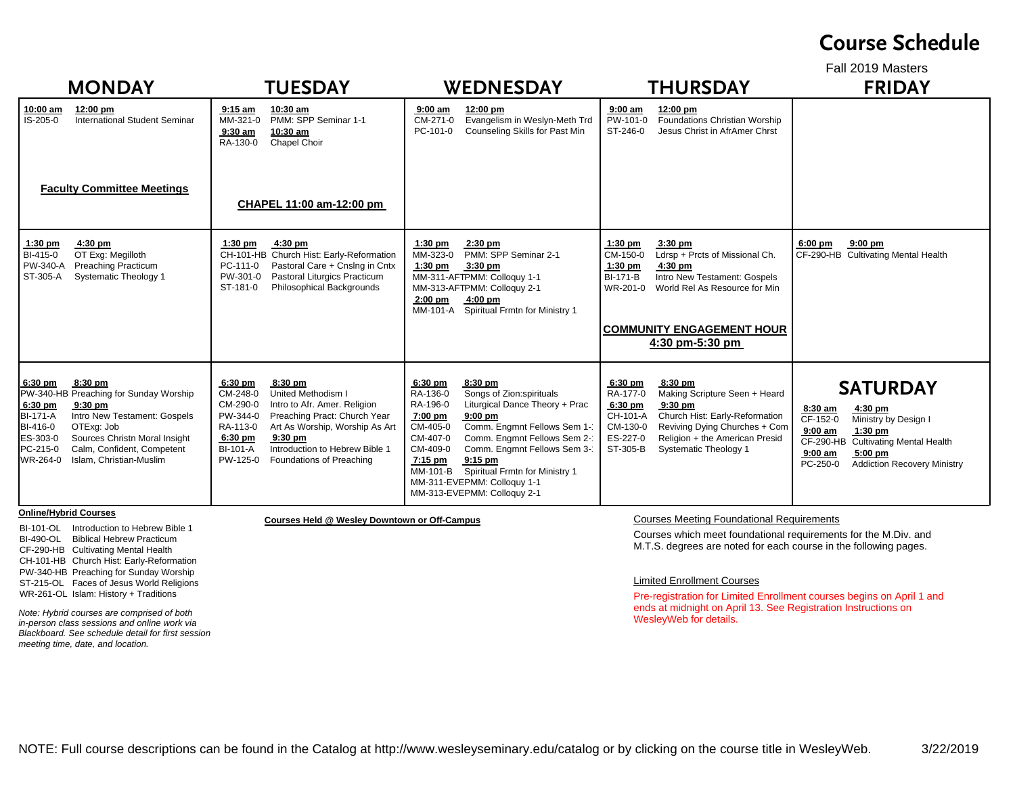### **Course Schedule**

Fall 2019 Masters

| <b>MONDAY</b>                                                                                                                                                                                                                                                                                       | <b>TUESDAY</b>                                                                                                                                                                                                                                                                                                         | <b>WEDNESDAY</b>                                                                                                                                                                                                                                                                                                                                                                                        | <b>THURSDAY</b>                                                                                                                                                                                                                                                              | <b>FRIDAY</b>                                                                                                                                                                                                            |
|-----------------------------------------------------------------------------------------------------------------------------------------------------------------------------------------------------------------------------------------------------------------------------------------------------|------------------------------------------------------------------------------------------------------------------------------------------------------------------------------------------------------------------------------------------------------------------------------------------------------------------------|---------------------------------------------------------------------------------------------------------------------------------------------------------------------------------------------------------------------------------------------------------------------------------------------------------------------------------------------------------------------------------------------------------|------------------------------------------------------------------------------------------------------------------------------------------------------------------------------------------------------------------------------------------------------------------------------|--------------------------------------------------------------------------------------------------------------------------------------------------------------------------------------------------------------------------|
| 12:00 pm<br>10:00 am<br><b>International Student Seminar</b><br>IS-205-0<br><b>Faculty Committee Meetings</b>                                                                                                                                                                                       | $9:15$ am<br>10:30 am<br>PMM: SPP Seminar 1-1<br>MM-321-0<br>10:30 am<br>$9:30$ am<br>RA-130-0<br>Chapel Choir<br>CHAPEL 11:00 am-12:00 pm                                                                                                                                                                             | 12:00 pm<br>$9:00 \text{ am}$<br>Evangelism in Weslyn-Meth Trd<br>CM-271-0<br>Counseling Skills for Past Min<br>PC-101-0                                                                                                                                                                                                                                                                                | $9:00$ am<br>12:00 pm<br>Foundations Christian Worship<br>PW-101-0<br>ST-246-0<br>Jesus Christ in AfrAmer Chrst                                                                                                                                                              |                                                                                                                                                                                                                          |
| $4:30$ pm<br>$1:30$ pm<br>OT Exg: Megilloth<br>BI-415-0<br>PW-340-A<br><b>Preaching Practicum</b><br>ST-305-A<br><b>Systematic Theology 1</b>                                                                                                                                                       | $1:30$ pm<br>4:30 pm<br>CH-101-HB Church Hist: Early-Reformation<br>Pastoral Care + Cnslng in Cntx<br>PC-111-0<br>Pastoral Liturgics Practicum<br>PW-301-0<br>ST-181-0<br>Philosophical Backgrounds                                                                                                                    | $1:30$ pm<br>$2:30$ pm<br>PMM: SPP Seminar 2-1<br>MM-323-0<br>$1:30$ pm<br>$3:30$ pm<br>MM-311-AFTPMM: Colloguy 1-1<br>MM-313-AFTPMM: Colloguy 2-1<br>$4:00$ pm<br>$2:00$ pm<br>MM-101-A Spiritual Frmtn for Ministry 1                                                                                                                                                                                 | $1:30$ pm<br>$3:30$ pm<br>Ldrsp + Prcts of Missional Ch.<br>CM-150-0<br>$1:30$ pm<br>4:30 pm<br>Intro New Testament: Gospels<br><b>BI-171-B</b><br>World Rel As Resource for Min<br>WR-201-0<br><b>COMMUNITY ENGAGEMENT HOUR</b><br>$4:30$ pm-5:30 pm                        | $9:00$ pm<br>$6:00$ pm<br>CF-290-HB Cultivating Mental Health                                                                                                                                                            |
| $8:30$ pm<br>6:30 pm<br>PW-340-HB Preaching for Sunday Worship<br>$6:30$ pm<br>$9:30$ pm<br>Intro New Testament: Gospels<br><b>BI-171-A</b><br>OTExg: Job<br>BI-416-0<br>Sources Christn Moral Insight<br>ES-303-0<br>PC-215-0<br>Calm, Confident, Competent<br>WR-264-0<br>Islam, Christian-Muslim | 8:30 pm<br>6:30 pm<br>United Methodism I<br>CM-248-0<br>CM-290-0<br>Intro to Afr. Amer. Religion<br>Preaching Pract: Church Year<br>PW-344-0<br>RA-113-0<br>Art As Worship, Worship As Art<br>$9:30$ pm<br>6:30 pm<br>Introduction to Hebrew Bible 1<br><b>BI-101-A</b><br>PW-125-0<br><b>Foundations of Preaching</b> | 6:30 pm<br>8:30 pm<br>RA-136-0<br>Songs of Zion:spirituals<br>Liturgical Dance Theory + Prac<br>RA-196-0<br>7:00 pm<br>$9:00$ pm<br>Comm. Engmnt Fellows Sem 1-1<br>CM-405-0<br>CM-407-0<br>Comm. Engmnt Fellows Sem 2-<br>CM-409-0<br>Comm. Engmnt Fellows Sem 3-1<br>$9:15$ pm<br>7:15 pm<br>Spiritual Frmtn for Ministry 1<br>MM-101-B<br>MM-311-EVEPMM: Colloguy 1-1<br>MM-313-EVEPMM: Colloquy 2-1 | 8:30 pm<br>6:30 pm<br>RA-177-0<br>Making Scripture Seen + Heard<br>6:30 pm<br>$9:30$ pm<br>CH-101-A<br>Church Hist: Early-Reformation<br>CM-130-0<br>Reviving Dying Churches + Com<br>ES-227-0<br>Religion + the American Presid<br>ST-305-B<br><b>Systematic Theology 1</b> | <b>SATURDAY</b><br>8:30 am<br>$4:30$ pm<br>CF-152-0<br>Ministry by Design I<br>$9:00$ am<br>$1:30$ pm<br>CF-290-HB Cultivating Mental Health<br>$9:00$ am<br>$5:00$ pm<br><b>Addiction Recovery Ministry</b><br>PC-250-0 |

#### **Online/Hybrid Courses**

BI-101-OL Introduction to Hebrew Bible 1BI-490-OL Biblical Hebrew Practicum CF-290-HB Cultivating Mental Health CH-101-HB Church Hist: Early-Reformation PW-340-HB Preaching for Sunday Worship ST-215-OL Faces of Jesus World Religions WR-261-OL Islam: History + Traditions

*Note: Hybrid courses are comprised of both in-person class sessions and online work via Blackboard. See schedule detail for first session meeting time, date, and location.*

**Courses Held @ Wesley Downtown or Off-Campus** Courses Meeting Foundational Requirements

Courses which meet foundational requirements for the M.Div. and M.T.S. degrees are noted for each course in the following pages.

#### Limited Enrollment Courses

Pre-registration for Limited Enrollment courses begins on April 1 and ends at midnight on April 13. See Registration Instructions on WesleyWeb for details.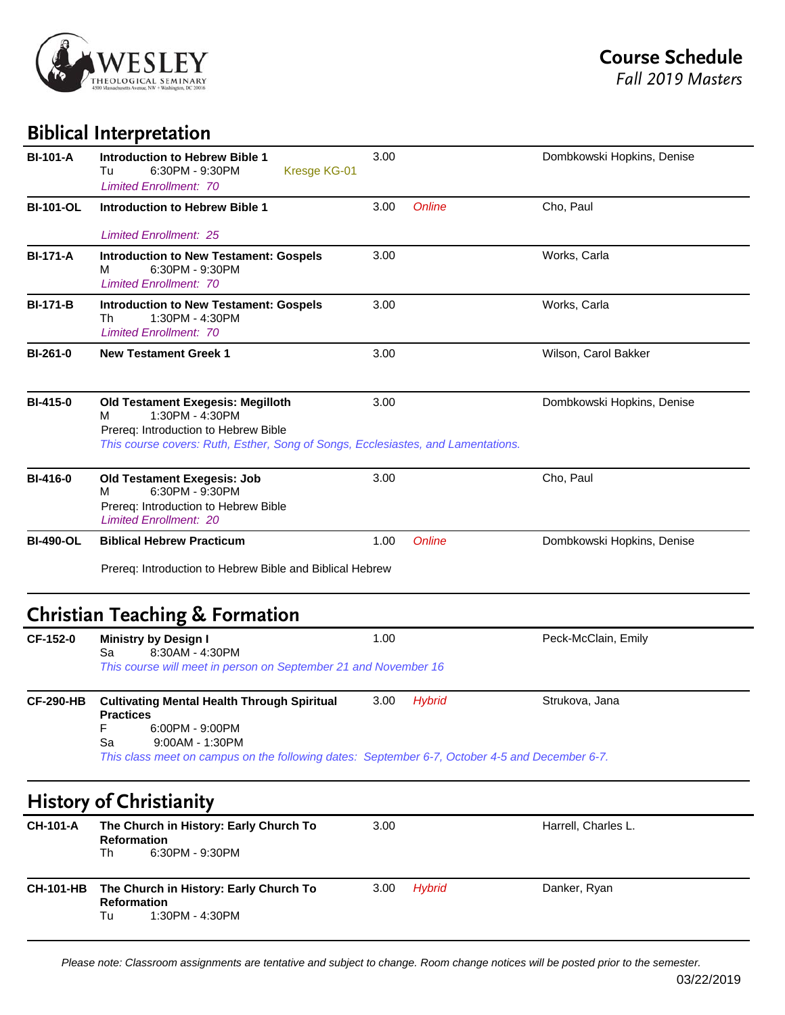

## **Biblical Interpretation**

| <b>BI-101-A</b>  | <b>Introduction to Hebrew Bible 1</b><br>6:30PM - 9:30PM<br>Tu<br>Kresge KG-01<br><b>Limited Enrollment: 70</b>                                                                                                           | 3.00 |               | Dombkowski Hopkins, Denise |
|------------------|---------------------------------------------------------------------------------------------------------------------------------------------------------------------------------------------------------------------------|------|---------------|----------------------------|
| <b>BI-101-OL</b> | <b>Introduction to Hebrew Bible 1</b>                                                                                                                                                                                     | 3.00 | <b>Online</b> | Cho, Paul                  |
| <b>BI-171-A</b>  | <b>Limited Enrollment: 25</b><br><b>Introduction to New Testament: Gospels</b><br>м<br>6:30PM - 9:30PM<br><b>Limited Enrollment: 70</b>                                                                                   | 3.00 |               | Works, Carla               |
| <b>BI-171-B</b>  | <b>Introduction to New Testament: Gospels</b><br>1:30PM - 4:30PM<br>Th<br><b>Limited Enrollment: 70</b>                                                                                                                   | 3.00 |               | Works, Carla               |
| <b>BI-261-0</b>  | <b>New Testament Greek 1</b>                                                                                                                                                                                              | 3.00 |               | Wilson, Carol Bakker       |
| <b>BI-415-0</b>  | <b>Old Testament Exegesis: Megilloth</b><br>1:30PM - 4:30PM<br>м<br>Prereq: Introduction to Hebrew Bible<br>This course covers: Ruth, Esther, Song of Songs, Ecclesiastes, and Lamentations.                              | 3.00 |               | Dombkowski Hopkins, Denise |
| <b>BI-416-0</b>  | <b>Old Testament Exegesis: Job</b><br>6:30PM - 9:30PM<br>м<br>Prereq: Introduction to Hebrew Bible<br><b>Limited Enrollment: 20</b>                                                                                       | 3.00 |               | Cho, Paul                  |
| <b>BI-490-OL</b> | <b>Biblical Hebrew Practicum</b><br>Prereq: Introduction to Hebrew Bible and Biblical Hebrew                                                                                                                              | 1.00 | <b>Online</b> | Dombkowski Hopkins, Denise |
| CF-152-0         | <b>Christian Teaching &amp; Formation</b><br><b>Ministry by Design I</b><br>8:30AM - 4:30PM<br>Sa                                                                                                                         | 1.00 |               | Peck-McClain, Emily        |
|                  | This course will meet in person on September 21 and November 16                                                                                                                                                           |      |               |                            |
| <b>CF-290-HB</b> | <b>Cultivating Mental Health Through Spiritual</b><br><b>Practices</b><br>F<br>6:00PM - 9:00PM<br>Sa<br>9:00AM - 1:30PM<br>This class meet on campus on the following dates: September 6-7, October 4-5 and December 6-7. | 3.00 | <b>Hybrid</b> | Strukova, Jana             |
|                  | <b>History of Christianity</b>                                                                                                                                                                                            |      |               |                            |
| <b>CH-101-A</b>  | The Church in History: Early Church To<br><b>Reformation</b><br>6:30PM - 9:30PM<br>Th                                                                                                                                     | 3.00 |               | Harrell, Charles L.        |
| <b>CH-101-HB</b> | The Church in History: Early Church To<br><b>Reformation</b>                                                                                                                                                              | 3.00 | <b>Hybrid</b> | Danker, Ryan               |

**Reformation**<br>Tu 1:30 1:30PM - 4:30PM

*Please note: Classroom assignments are tentative and subject to change. Room change notices will be posted prior to the semester.*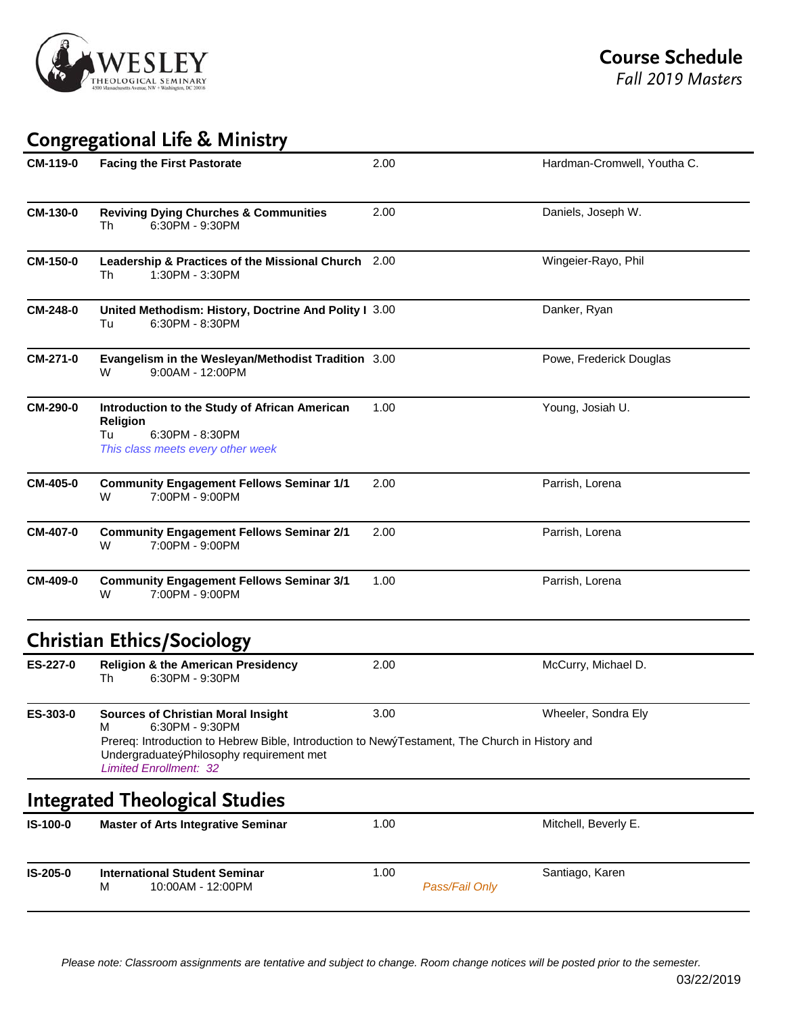

# **Congregational Life & Ministry**

| CM-119-0 | <b>Facing the First Pastorate</b>                                                                                                                                                                                                                | 2.00                   | Hardman-Cromwell, Youtha C. |
|----------|--------------------------------------------------------------------------------------------------------------------------------------------------------------------------------------------------------------------------------------------------|------------------------|-----------------------------|
| CM-130-0 | <b>Reviving Dying Churches &amp; Communities</b><br>Th<br>6:30PM - 9:30PM                                                                                                                                                                        | 2.00                   | Daniels, Joseph W.          |
| CM-150-0 | Leadership & Practices of the Missional Church 2.00<br>1:30PM - 3:30PM<br>Th                                                                                                                                                                     |                        | Wingeier-Rayo, Phil         |
| CM-248-0 | United Methodism: History, Doctrine And Polity I 3.00<br>6:30PM - 8:30PM<br>Tu                                                                                                                                                                   |                        | Danker, Ryan                |
| CM-271-0 | Evangelism in the Wesleyan/Methodist Tradition 3.00<br>9:00AM - 12:00PM<br>W                                                                                                                                                                     |                        | Powe, Frederick Douglas     |
| CM-290-0 | Introduction to the Study of African American<br>Religion<br>Tu<br>6:30PM - 8:30PM<br>This class meets every other week                                                                                                                          | 1.00                   | Young, Josiah U.            |
| CM-405-0 | <b>Community Engagement Fellows Seminar 1/1</b><br>7:00PM - 9:00PM<br>w                                                                                                                                                                          | 2.00                   | Parrish, Lorena             |
| CM-407-0 | <b>Community Engagement Fellows Seminar 2/1</b><br>7:00PM - 9:00PM<br>W                                                                                                                                                                          | 2.00                   | Parrish, Lorena             |
| CM-409-0 | <b>Community Engagement Fellows Seminar 3/1</b><br>7:00PM - 9:00PM<br>W                                                                                                                                                                          | 1.00                   | Parrish, Lorena             |
|          | <b>Christian Ethics/Sociology</b>                                                                                                                                                                                                                |                        |                             |
| ES-227-0 | <b>Religion &amp; the American Presidency</b><br>6:30PM - 9:30PM<br>Th                                                                                                                                                                           | 2.00                   | McCurry, Michael D.         |
| ES-303-0 | <b>Sources of Christian Moral Insight</b><br>6:30PM - 9:30PM<br>М<br>Prereq: Introduction to Hebrew Bible, Introduction to NewýTestament, The Church in History and<br>UndergraduateýPhilosophy requirement met<br><b>Limited Enrollment: 32</b> | 3.00                   | Wheeler, Sondra Ely         |
|          | <b>Integrated Theological Studies</b>                                                                                                                                                                                                            |                        |                             |
| IS-100-0 | <b>Master of Arts Integrative Seminar</b>                                                                                                                                                                                                        | 1.00                   | Mitchell, Beverly E.        |
| IS-205-0 | <b>International Student Seminar</b><br>10:00AM - 12:00PM<br>М                                                                                                                                                                                   | 1.00<br>Pass/Fail Only | Santiago, Karen             |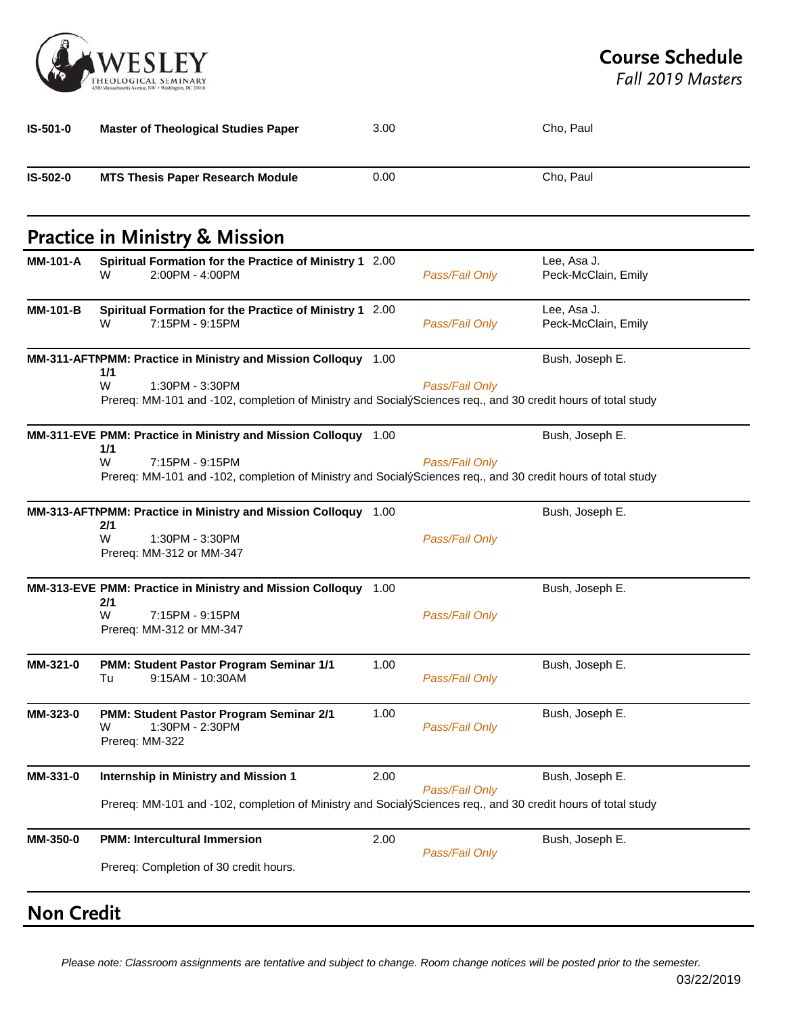

*Fall 2019 Masters*

|                      | <b>Master of Theological Studies Paper</b>                                                                                                                                                                    | 3.00 |                | Cho, Paul                          |
|----------------------|---------------------------------------------------------------------------------------------------------------------------------------------------------------------------------------------------------------|------|----------------|------------------------------------|
| IS-502-0             | <b>MTS Thesis Paper Research Module</b>                                                                                                                                                                       | 0.00 |                | Cho, Paul                          |
|                      | <b>Practice in Ministry &amp; Mission</b>                                                                                                                                                                     |      |                |                                    |
| <b>MM-101-A</b>      | Spiritual Formation for the Practice of Ministry 1 2.00<br>2:00PM - 4:00PM<br>W                                                                                                                               |      | Pass/Fail Only | Lee, Asa J.<br>Peck-McClain, Emily |
| <b>MM-101-B</b>      | Spiritual Formation for the Practice of Ministry 1 2.00<br>7:15PM - 9:15PM<br>W                                                                                                                               |      | Pass/Fail Only | Lee, Asa J.<br>Peck-McClain, Emily |
|                      | MM-311-AFTNPMM: Practice in Ministry and Mission Colloquy 1.00<br>1/1                                                                                                                                         |      |                | Bush, Joseph E.                    |
|                      | W<br>1:30PM - 3:30PM<br>Prereq: MM-101 and -102, completion of Ministry and SocialýSciences req., and 30 credit hours of total study                                                                          |      | Pass/Fail Only |                                    |
|                      | MM-311-EVE PMM: Practice in Ministry and Mission Colloquy 1.00<br>1/1<br>W<br>7:15PM - 9:15PM<br>Prereq: MM-101 and -102, completion of Ministry and SocialýSciences req., and 30 credit hours of total study |      | Pass/Fail Only | Bush, Joseph E.                    |
|                      | MM-313-AFTNPMM: Practice in Ministry and Mission Colloquy 1.00                                                                                                                                                |      |                | Bush, Joseph E.                    |
|                      | 2/1                                                                                                                                                                                                           |      |                |                                    |
|                      | W<br>1:30PM - 3:30PM<br>Prereq: MM-312 or MM-347                                                                                                                                                              |      | Pass/Fail Only |                                    |
|                      | MM-313-EVE PMM: Practice in Ministry and Mission Colloquy 1.00                                                                                                                                                |      |                | Bush, Joseph E.                    |
|                      | 2/1<br>W<br>7:15PM - 9:15PM<br>Prereq: MM-312 or MM-347                                                                                                                                                       |      | Pass/Fail Only |                                    |
|                      | PMM: Student Pastor Program Seminar 1/1<br>9:15AM - 10:30AM<br>Tu                                                                                                                                             | 1.00 | Pass/Fail Only | Bush, Joseph E.                    |
| MM-321-0<br>MM-323-0 | PMM: Student Pastor Program Seminar 2/1<br>1:30PM - 2:30PM<br>W<br>Prereq: MM-322                                                                                                                             | 1.00 | Pass/Fail Only | Bush, Joseph E.                    |
| MM-331-0             | Internship in Ministry and Mission 1                                                                                                                                                                          | 2.00 |                | Bush, Joseph E.                    |
|                      | Prereq: MM-101 and -102, completion of Ministry and SocialýSciences req., and 30 credit hours of total study                                                                                                  |      | Pass/Fail Only |                                    |

# **Non Credit**

*Please note: Classroom assignments are tentative and subject to change. Room change notices will be posted prior to the semester.*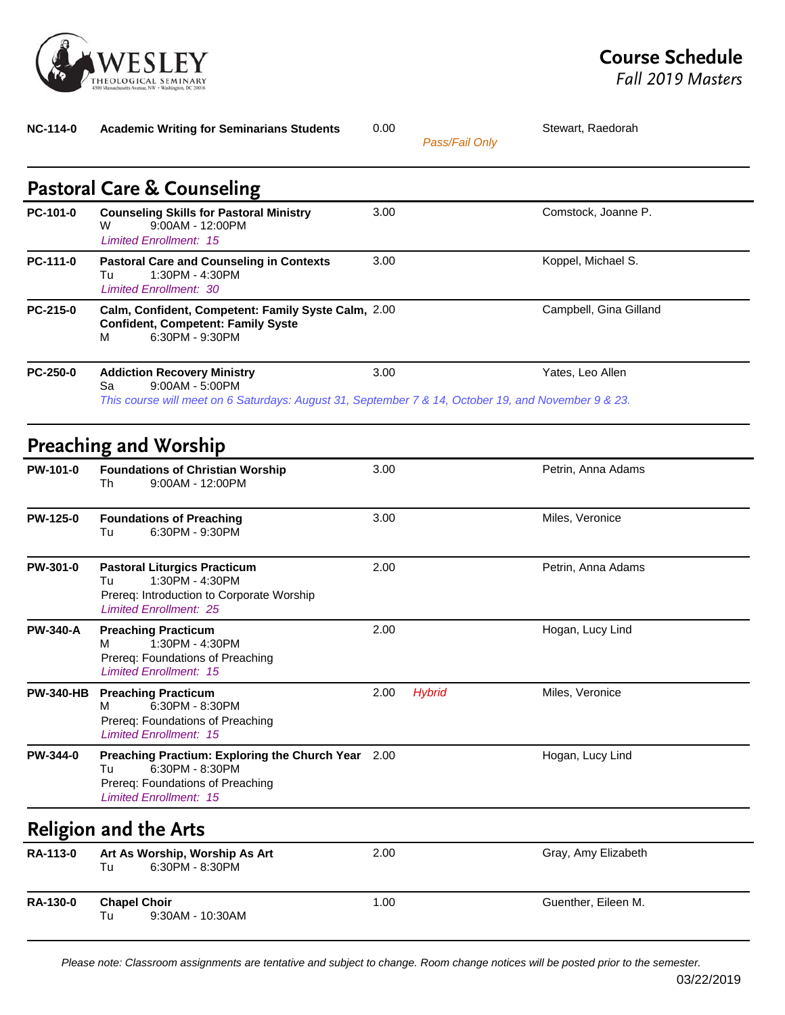

**NC-114-0 Academic Writing for Seminarians Students** 0.00 00 Stewart, Raedorah *Pass/Fail Only* **Pastoral Care & Counseling PC-101-0** Counseling Skills for Pastoral Ministry 3.00 Comstock, Joanne P. W 9:00AM - 12:00PM *Limited Enrollment: 15* **PC-111-0 Pastoral Care and Counseling in Contexts** 3.00 Koppel, Michael S. Tu 1:30PM - 4:30PM *Limited Enrollment: 30* **PC-215-0 Calm, Confident, Competent: Family Syste Calm, Confident, Competent: Family Syste** Campbell, Gina Gilland M 6:30PM - 9:30PM **PC-250-0 Addiction Recovery Ministry** 3.00 Yates, Leo Allen Sa 9:00AM - 5:00PM *This course will meet on 6 Saturdays: August 31, September 7 & 14, October 19, and November 9 & 23.* **Preaching and Worship PW-101-0 Foundations of Christian Worship** 3.00 3.00 Petrin, Anna Adams Th 9:00AM - 12:00PM **PW-125-0 Foundations of Preaching 60 and 3.00 60 and 5 and 5 and 5 and 5 and 5 and 5 and 5 and 6 and 6 and 6 and 6 and 6 and 6 and 6 and 6 and 6 and 6 and 6 and 6 and 6 and 6 and 6 and 6 and 6 and 6 and 6 and 6 and 6 and** Tu 6:30PM - 9:30PM **PW-301-0 Pastoral Liturgics Practicum** 2.00 2.00 Petrin, Anna Adams Tu 1:30PM - 4:30PM Prereq: Introduction to Corporate Worship *Limited Enrollment: 25* **PW-340-A Preaching Practicum** 2.00 2.00 Hogan, Lucy Lind M 1:30PM - 4:30PM Prereq: Foundations of Preaching *Limited Enrollment: 15* **PW-340-HB Preaching Practicum** 2.00 *Hybrid* Miles, Veronice M 6:30PM - 8:30PM Prereq: Foundations of Preaching *Limited Enrollment: 15* **PW-344-0 Preaching Practium: Exploring the Church Year** 2.00 Hogan, Lucy Lind Tu 6:30PM - 8:30PM Prereq: Foundations of Preaching *Limited Enrollment: 15* **Religion and the Arts RA-113-0 Art As Worship, Worship As Art** 2.00 2.00 Gray, Amy Elizabeth Tu 6:30PM - 8:30PM **RA-130-0 Chapel Choir** 1.00 1.00 Guenther, Eileen M.<br>
Tu 9:30AM - 10:30AM 9:30AM - 10:30AM

*Please note: Classroom assignments are tentative and subject to change. Room change notices will be posted prior to the semester.*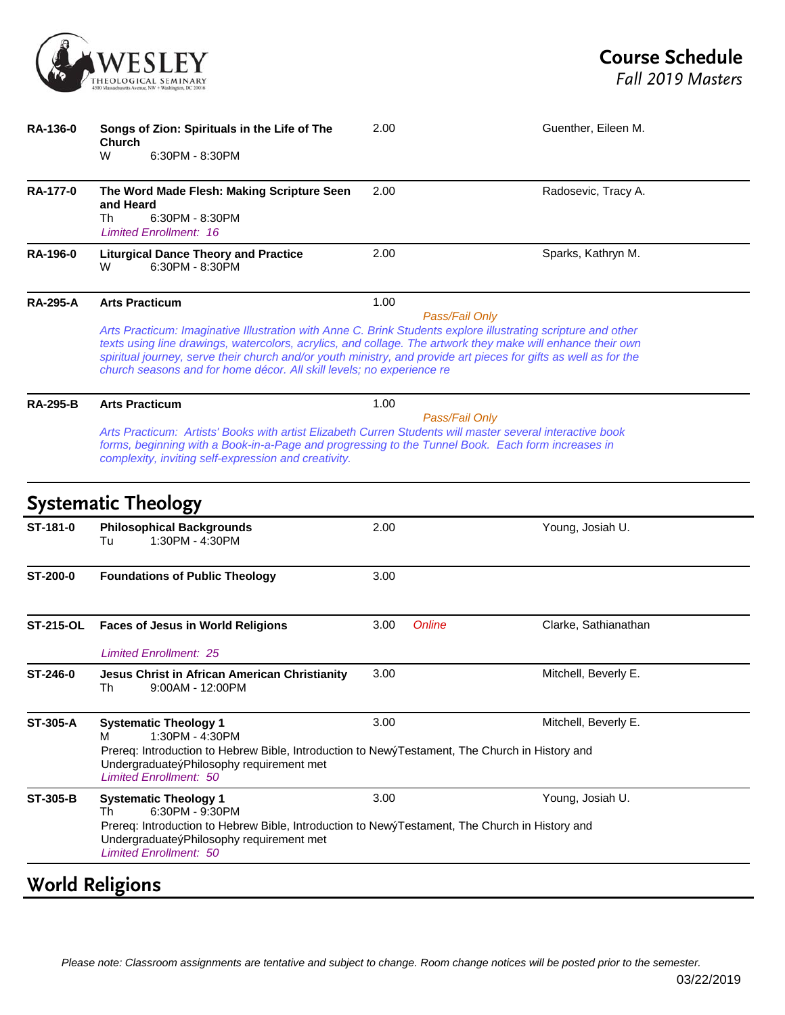

| <b>RA-136-0</b>  | Songs of Zion: Spirituals in the Life of The<br><b>Church</b><br>6:30PM - 8:30PM<br>W                                                                                                                                                                                                                                                                                                                                     | 2.00 | Guenther, Eileen M.                   |
|------------------|---------------------------------------------------------------------------------------------------------------------------------------------------------------------------------------------------------------------------------------------------------------------------------------------------------------------------------------------------------------------------------------------------------------------------|------|---------------------------------------|
| <b>RA-177-0</b>  | The Word Made Flesh: Making Scripture Seen<br>and Heard<br>6:30PM - 8:30PM<br>Th<br><b>Limited Enrollment: 16</b>                                                                                                                                                                                                                                                                                                         | 2.00 | Radosevic, Tracy A.                   |
| <b>RA-196-0</b>  | <b>Liturgical Dance Theory and Practice</b><br>6:30PM - 8:30PM<br>W                                                                                                                                                                                                                                                                                                                                                       | 2.00 | Sparks, Kathryn M.                    |
| <b>RA-295-A</b>  | <b>Arts Practicum</b>                                                                                                                                                                                                                                                                                                                                                                                                     | 1.00 | Pass/Fail Only                        |
|                  | Arts Practicum: Imaginative Illustration with Anne C. Brink Students explore illustrating scripture and other<br>texts using line drawings, watercolors, acrylics, and collage. The artwork they make will enhance their own<br>spiritual journey, serve their church and/or youth ministry, and provide art pieces for gifts as well as for the<br>church seasons and for home décor. All skill levels; no experience re |      |                                       |
| <b>RA-295-B</b>  | <b>Arts Practicum</b>                                                                                                                                                                                                                                                                                                                                                                                                     | 1.00 |                                       |
|                  | Arts Practicum: Artists' Books with artist Elizabeth Curren Students will master several interactive book<br>forms, beginning with a Book-in-a-Page and progressing to the Tunnel Book. Each form increases in<br>complexity, inviting self-expression and creativity.                                                                                                                                                    |      | Pass/Fail Only                        |
|                  | <b>Systematic Theology</b>                                                                                                                                                                                                                                                                                                                                                                                                |      |                                       |
| ST-181-0         | <b>Philosophical Backgrounds</b><br>Tu<br>1:30PM - 4:30PM                                                                                                                                                                                                                                                                                                                                                                 | 2.00 | Young, Josiah U.                      |
| <b>ST-200-0</b>  | <b>Foundations of Public Theology</b>                                                                                                                                                                                                                                                                                                                                                                                     | 3.00 |                                       |
| <b>ST-215-OL</b> | <b>Faces of Jesus in World Religions</b>                                                                                                                                                                                                                                                                                                                                                                                  | 3.00 | <b>Online</b><br>Clarke, Sathianathan |
|                  | <b>Limited Enrollment: 25</b>                                                                                                                                                                                                                                                                                                                                                                                             |      |                                       |
| ST-246-0         | <b>Jesus Christ in African American Christianity</b><br>Th<br>9:00AM - 12:00PM                                                                                                                                                                                                                                                                                                                                            | 3.00 | Mitchell, Beverly E.                  |
| <b>ST-305-A</b>  | <b>Systematic Theology 1</b><br>1:30PM - 4:30PM<br>м                                                                                                                                                                                                                                                                                                                                                                      | 3.00 | Mitchell, Beverly E.                  |
|                  | Prereq: Introduction to Hebrew Bible, Introduction to Newy Testament, The Church in History and<br>UndergraduateýPhilosophy requirement met<br><b>Limited Enrollment: 50</b>                                                                                                                                                                                                                                              |      |                                       |
| <b>ST-305-B</b>  | <b>Systematic Theology 1</b><br>6:30PM - 9:30PM<br>Th<br>Prereq: Introduction to Hebrew Bible, Introduction to Newy Testament, The Church in History and<br>UndergraduateýPhilosophy requirement met<br><b>Limited Enrollment: 50</b>                                                                                                                                                                                     | 3.00 | Young, Josiah U.                      |

### **World Religions**